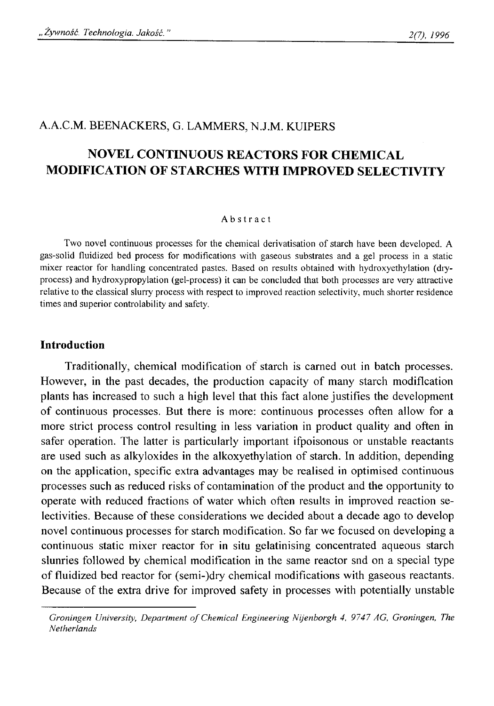## A.A.C.M. BEENACKERS, G. LAMMERS, N.J.M. KUIPERS

# **NOVEL CONTINUOUS REACTORS FOR CHEMICAL MODIFICATION OF STARCHES WITH IMPROVED SELECTIVITY**

#### **Abstract**

Two novel continuous processes for the chemical derivatisation of starch have been developed. A **gas-solid fluidized bed process for modifications with gaseous substrates and a gel process in a static mixer reactor for handling concentrated pastes. Based on results obtained with hydroxyethylation (dryprocess) and hydroxypropylation (gel-process) it can be concluded that both processes are very attractive relative to the classical slurry process with respect to improved reaction selectivity, much shorter residence times and superior controlability and safety.**

#### **Introduction**

Traditionally, chemical modification of starch is earned out in batch processes. However, in the past decades, the production capacity of many starch modification plants has increased to such a high level that this fact alone justifies the development of continuous processes. But there is more: continuous processes often allow for a more strict process control resulting in less variation in product quality and often in safer operation. The latter is particularly important ifpoisonous or unstable reactants are used such as alkyloxides in the alkoxyethylation of starch. In addition, depending on the application, specific extra advantages may be realised in optimised continuous processes such as reduced risks of contamination of the product and the opportunity to operate with reduced fractions of water which often results in improved reaction selectivities. Because of these considerations we decided about a decade ago to develop novel continuous processes for starch modification. So far we focused on developing a continuous static mixer reactor for in situ gelatinising concentrated aqueous starch slunries followed by chemical modification in the same reactor snd on a special type of fluidized bed reactor for (semi-)dry chemical modifications with gaseous reactants. Because of the extra drive for improved safety in processes with potentially unstable

*Groningen University, Department of Chemical Engineering Nijenborgh 4, 9747 AG, Groningen, The Netherlands*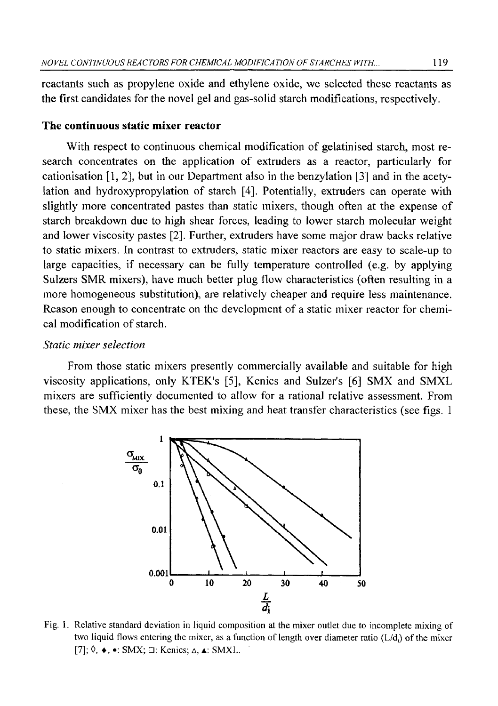reactants such as propylene oxide and ethylene oxide, we selected these reactants as the first candidates for the novel gel and gas-solid starch modifications, respectively.

#### **The continuous static mixer reactor**

With respect to continuous chemical modification of gelatinised starch, most research concentrates on the application of extruders as a reactor, particularly for cationisation [1, 2], but in our Department also in the benzylation [3] and in the acetylation and hydroxypropylation of starch [4]. Potentially, extruders can operate with slightly more concentrated pastes than static mixers, though often at the expense of starch breakdown due to high shear forces, leading to lower starch molecular weight and lower viscosity pastes [2]. Further, extruders have some major draw backs relative to static mixers. In contrast to extruders, static mixer reactors are easy to scale-up to large capacities, if necessary can be fully temperature controlled (e.g. by applying Sulzers SMR mixers), have much better plug flow characteristics (often resulting in a more homogeneous substitution), are relatively cheaper and require less maintenance. Reason enough to concentrate on the development of a static mixer reactor for chemical modification of starch.

#### *Static mixer selection*

From those static mixers presently commercially available and suitable for high viscosity applications, only KTEK's [5], Kenics and Sulzer's [6] SMX and SMXL mixers are sufficiently documented to allow for a rational relative assessment. From these, the SMX mixer has the best mixing and heat transfer characteristics (see figs. 1



**Fig. 1. Relative standard deviation in liquid composition at the mixer outlet due to incomplete mixing of** two liquid flows entering the mixer, as a function of length over diameter ratio (L/d<sub>i</sub>) of the mixer **[7]; 0, ♦, •: SMX; □: Kenics; A, a: SMXL.**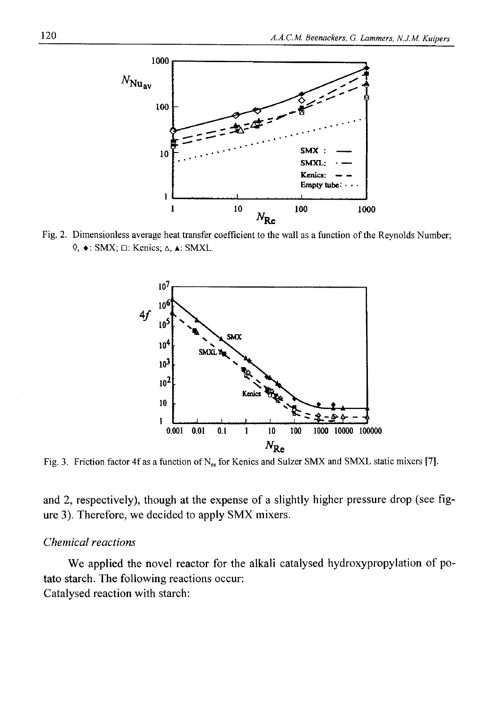

Fig. 2. Dimensionless average heat transfer coefficient to the wall as a function of the Reynolds Number; **0, ♦: SMX; □: Kenics; A, a: SMXL.**



**Fig. 3. Friction factor 4f as a function of Nre for Kenics and Sulzer SMX and SMXL static mixers [7].**

and 2, respectively), though at the expense of a slightly higher pressure drop (see figure 3). Therefore, we decided to apply SMX mixers.

#### *Chemical reactions*

We applied the novel reactor for the alkali catalysed hydroxypropylation of potato starch. The following reactions occur: Catalysed reaction with starch: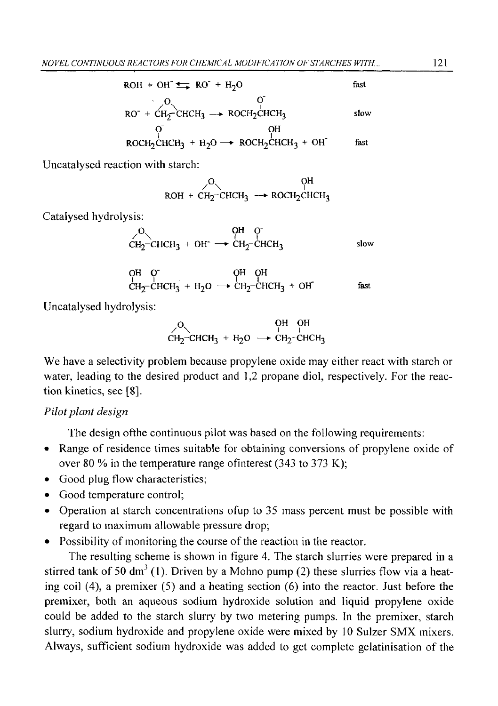ROH + OH<sup>+</sup> 
$$
H_{2}O
$$
 fast  
\n $O$  for  $O$  to  $O$  to  $O$  to  $O$  to  $O$  to  $O$  to  $O$  to  $O$  to  $O$  to  $O$  to  $O$  to  $O$  to  $O$  to  $O$  to  $O$  to  $O$  to  $O$  to  $O$  to  $O$  to  $O$  to  $O$  to  $O$  to  $O$  to  $O$  to  $O$  to  $O$  to  $O$  to  $O$  to  $O$  to  $O$  to  $O$  to  $O$  to  $O$  to  $O$  to  $O$  to  $O$  to  $O$  to  $O$  to  $O$  to  $O$  to  $O$  to  $O$  to  $O$  to  $O$  to  $O$  to  $O$  to  $O$  to  $O$  to  $O$  to  $O$  to  $O$  to  $O$  to  $O$  to  $O$  to  $O$  to  $O$  to  $O$  to  $O$  to  $O$  to  $O$  to  $O$  to  $O$  to  $O$  to  $O$  to  $O$  to  $O$ 

Uncatalysed reaction with starch:

$$
\begin{array}{c}\n \nearrow \\
 \nearrow \\
 \text{ROH} + \text{CH}_2\text{-} \text{CHCH}_3 \longrightarrow \text{ROCH}_2\text{CHCH}_3\n \end{array}
$$

Catalysed hydrolysis:

$$
\begin{array}{ccc}\nO & \text{QH} & \text{Q} \\
CH_2-\text{CHCH}_3 + \text{OH}^- & \longrightarrow & \text{CH}_2-\text{CHCH}_3\n\end{array}
$$
slow

$$
\begin{array}{ccc}\nO^H & O^{\dagger} & O^H & O^H \\
C^H & C^H & C^H & C^H & C^H \\
O^H & O^H & O^H & O^H\n\end{array}
$$

Uncatalysed hydrolysis:

$$
\begin{array}{c}\nO \\
CH_2-CHCH_3 + H_2O \rightarrow CH_2-CHCH_3 \\
\end{array}
$$

We have a selectivity problem because propylene oxide may either react with starch or water, leading to the desired product and 1,2 propane diol, respectively. For the reaction kinetics, see [8].

### *Pilot plant design*

The design ofthe continuous pilot was based on the following requirements:

- Range of residence times suitable for obtaining conversions of propylene oxide of over 80 *%* in the temperature range ofinterest (343 to 373 K);
- Good plug flow characteristics;
- Good temperature control;
- Operation at starch concentrations ofup to 35 mass percent must be possible with regard to maximum allowable pressure drop;
- Possibility of monitoring the course of the reaction in the reactor.

The resulting scheme is shown in figure 4. The starch slurries were prepared in a stirred tank of 50 dm<sup>3</sup> (1). Driven by a Mohno pump (2) these slurries flow via a heating coil (4), a premixer (5) and a heating section (6) into the reactor. Just before the premixer, both an aqueous sodium hydroxide solution and liquid propylene oxide could be added to the starch slurry by two metering pumps. In the premixer, starch slurry, sodium hydroxide and propylene oxide were mixed by 10 Sulzer SMX mixers. Always, sufficient sodium hydroxide was added to get complete gelatinisation of the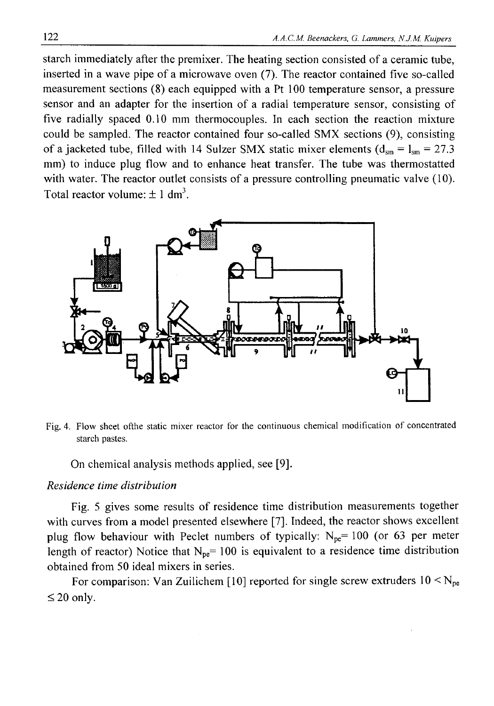starch immediately after the premixer. The heating section consisted of a ceramic tube, inserted in a wave pipe of a microwave oven (7). The reactor contained five so-called measurement sections (8) each equipped with a Pt 100 temperature sensor, a pressure sensor and an adapter for the insertion of a radial temperature sensor, consisting of five radially spaced 0.10 mm thermocouples. In each section the reaction mixture could be sampled. The reactor contained four so-called SMX sections (9), consisting of a jacketed tube, filled with 14 Sulzer SMX static mixer elements  $(d_{\rm sm} = l_{\rm sm} = 27.3$ mm) to induce plug flow and to enhance heat transfer. The tube was thermostatted with water. The reactor outlet consists of a pressure controlling pneumatic valve (10). Total reactor volume:  $\pm 1$  dm<sup>3</sup>.



Fig. 4. Flow sheet ofthe static mixer reactor for the continuous chemical modification of concentrated **starch pastes.**

On chemical analysis methods applied, see [9].

### *Residence time distribution*

Fig. 5 gives some results of residence time distribution measurements together with curves from a model presented elsewhere [7]. Indeed, the reactor shows excellent plug flow behaviour with Peclet numbers of typically:  $N_{pe}$ = 100 (or 63 per meter length of reactor) Notice that  $N_{pe}=100$  is equivalent to a residence time distribution obtained from 50 ideal mixers in series.

For comparison: Van Zuilichem [10] reported for single screw extruders  $10 \le N_{pe}$  $\leq 20$  only.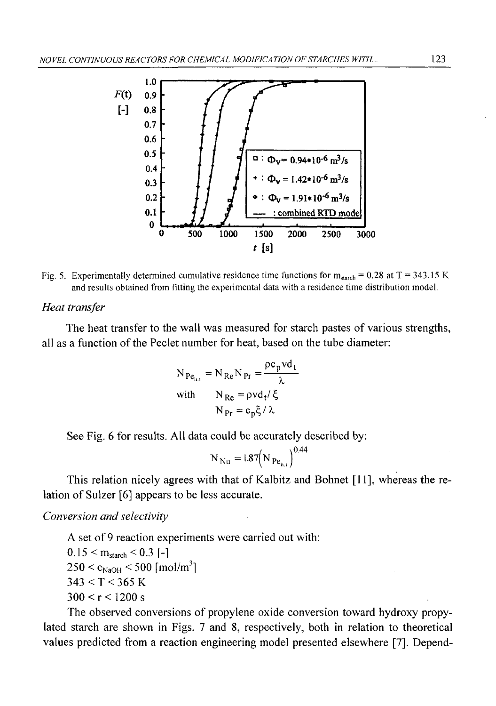

Fig. 5. Experimentally determined cumulative residence time functions for  $m_{\text{start}} = 0.28$  at  $T = 343.15$  K **and results obtained from fitting the experimental data with a residence time distribution model.**

#### *Heat transfer*

The heat transfer to the wall was measured for starch pastes of various strengths, all as a function of the Peclet number for heat, based on the tube diameter:

$$
N_{Pe_{h,t}} = N_{Re} N_{Pr} = \frac{\rho c_p v d_t}{\lambda}
$$
  
with 
$$
N_{Re} = \rho v d_t / \xi
$$

$$
N_{Pr} = c_p \xi / \lambda
$$

See Fig. 6 for results. All data could be accurately described by:

$$
N_{\rm Nu} = 1.87 (N_{\rm Pe_{h,1}})^{0.44}
$$

This relation nicely agrees with that of Kalbitz and Bohnet [11], whereas the relation of Sulzer [6] appears to be less accurate.

*Conversion and selectivity*

A set of 9 reaction experiments were carried out with:  $0.15 < m_{\text{starch}} < 0.3$  [-]  $250 < c_{\text{NaOH}} < 500 \text{ [mol/m}^3]$  $343 < T < 365$  K  $300 < r < 1200 s$ 

The observed conversions of propylene oxide conversion toward hydroxy propylated starch are shown in Figs. 7 and 8, respectively, both in relation to theoretical values predicted from a reaction engineering model presented elsewhere [7]. Depend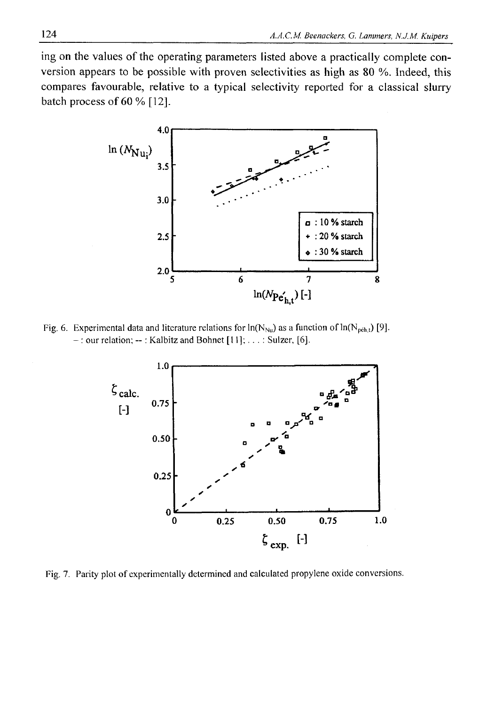ing on the values of the operating parameters listed above a practically complete conversion appears to be possible with proven selectivities as high as 80 %. Indeed, this compares favourable, relative to a typical selectivity reported for a classical slurry batch process of 60 % [12].



Fig. 6. Experimental data and literature relations for  $ln(N_{Nu})$  as a function of  $ln(N_{p\acute{e}h,t})$  [9]. **- : our relation; --: Kalbitz and Bohnet [11];...: Sulzer, [6],**



Fig. 7. Parity plot of experimentally determined and calculated propylene oxide conversions.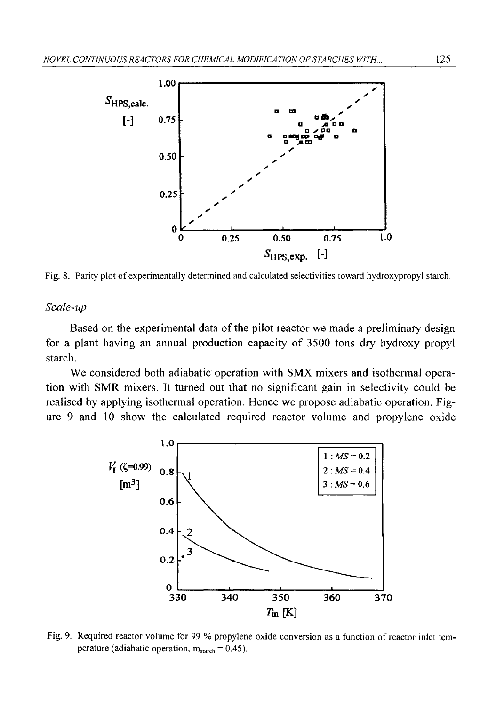

Fig. 8. Parity plot of experimentally determined and calculated selectivities toward hydroxypropyl starch.

#### *Scale-up*

Based on the experimental data of the pilot reactor we made a preliminary design for a plant having an annual production capacity of 3500 tons dry hydroxy propyl starch.

We considered both adiabatic operation with SMX mixers and isothermal operation with SMR mixers. It turned out that no significant gain in selectivity could be realised by applying isothermal operation. Hence we propose adiabatic operation. Figure 9 and 10 show the calculated required reactor volume and propylene oxide



**Fig. 9. Required reactor volume for 99 % propylene oxide conversion as a function of reactor inlet temperature** (adiabatic operation,  $m_{\text{starch}} = 0.45$ ).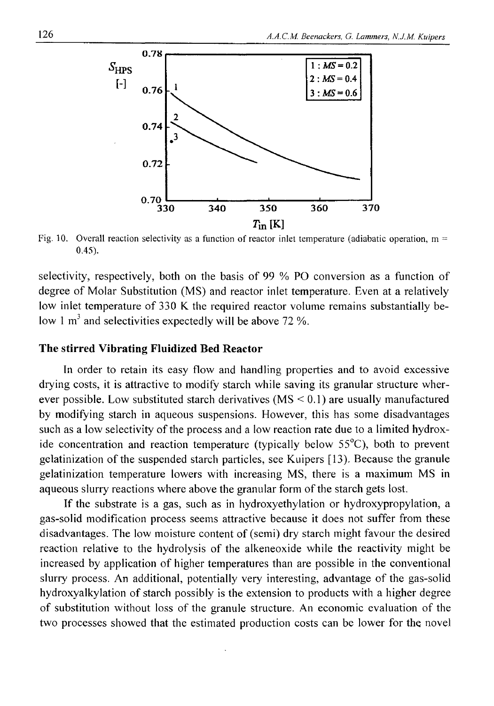

**Fig. 10. Overall reaction selectivity as a function of reactor inlet temperature (adiabatic operation, m = 0.45).**

selectivity, respectively, both on the basis of 99 % PO conversion as a function of degree of Molar Substitution (MS) and reactor inlet temperature. Even at a relatively low inlet temperature of 330 K the required reactor volume remains substantially below 1  $m<sup>3</sup>$  and selectivities expectedly will be above 72 %.

#### **The stirred Vibrating Fluidized Bed Reactor**

In order to retain its easy flow and handling properties and to avoid excessive drying costs, it is attractive to modify starch while saving its granular structure wherever possible. Low substituted starch derivatives  $(MS \le 0.1)$  are usually manufactured by modifying starch in aqueous suspensions. However, this has some disadvantages such as a low selectivity of the process and a low reaction rate due to a limited hydroxide concentration and reaction temperature (typically below 55°C), both to prevent gelatinization of the suspended starch particles, see Kuipers [13). Because the granule gelatinization temperature lowers with increasing MS, there is a maximum MS in aqueous slurry reactions where above the granular form of the starch gets lost.

If the substrate is a gas, such as in hydroxyethylation or hydroxypropylation, a gas-solid modification process seems attractive because it does not suffer from these disadvantages. The low moisture content of (semi) dry starch might favour the desired reaction relative to the hydrolysis of the alkeneoxide while the reactivity might be increased by application of higher temperatures than are possible in the conventional slurry process. An additional, potentially very interesting, advantage of the gas-solid hydroxyalkylation of starch possibly is the extension to products with a higher degree of substitution without loss of the granule structure. An economic evaluation of the two processes showed that the estimated production costs can be lower for the novel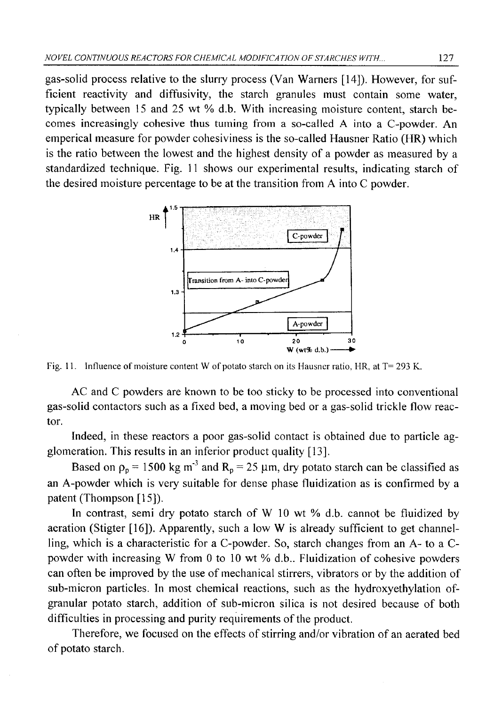gas-solid process relative to the slurry process (Van Warners [14]). However, for sufficient reactivity and diffusivity, the starch granules must contain some water, typically between 15 and 25 wt % d.b. With increasing moisture content, starch becomes increasingly cohesive thus turning from a so-called A into a C-powder. An emperical measure for powder cohesiviness is the so-called Hausner Ratio (HR) which is the ratio between the lowest and the highest density of a powder as measured by a standardized technique. Fig. 11 shows our experimental results, indicating starch of the desired moisture percentage to be at the transition from A into C powder.



Fig. 11. Influence of moisture content W of potato starch on its Hausner ratio, HR, at T= 293 K.

AC and C powders are known to be too sticky to be processed into conventional gas-solid contactors such as a fixed bed, a moving bed or a gas-solid trickle flow reactor.

Indeed, in these reactors a poor gas-solid contact is obtained due to particle agglomeration. This results in an inferior product quality [13].

Based on  $p_p = 1500 \text{ kg m}^3$  and  $R_p = 25 \mu \text{m}$ , dry potato starch can be classified as an A-powder which is very suitable for dense phase fluidization as is confirmed by a patent (Thompson [15]).

In contrast, semi dry potato starch of W 10 wt % d.b. cannot be fluidized by aeration (Stigter [16]). Apparently, such a low W is already sufficient to get channelling, which is a characteristic for a C-powder. So, starch changes from an A- to a Cpowder with increasing W from 0 to 10 wt % d.b.. Fluidization of cohesive powders can often be improved by the use of mechanical stirrers, vibrators or by the addition of sub-micron particles. In most chemical reactions, such as the hydroxyethylation ofgranular potato starch, addition of sub-micron silica is not desired because of both difficulties in processing and purity requirements of the product.

Therefore, we focused on the effects of stirring and/or vibration of an aerated bed of potato starch.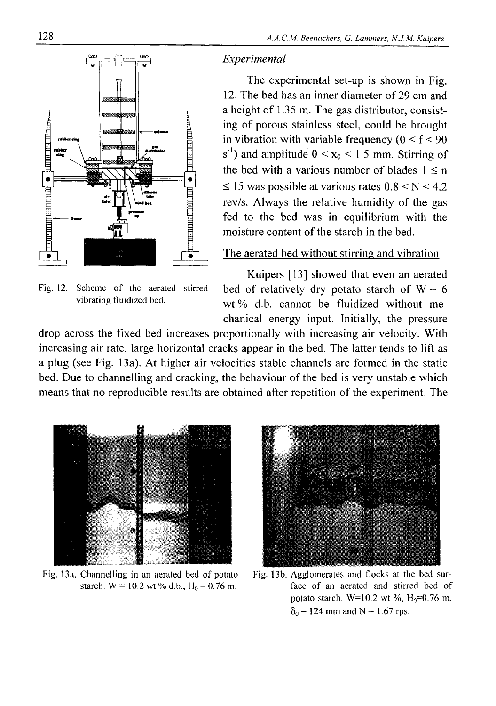

**Fig. 12. Scheme of the aerated stirred vibrating fluidized bed.**

#### *Experimental*

The experimental set-up is shown in Fig. 12. The bed has an inner diameter of 29 cm and a height of 1.35 m. The gas distributor, consisting of porous stainless steel, could be brought in vibration with variable frequency  $(0 < f < 90$ s<sup>-1</sup>) and amplitude  $0 < x_0 < 1.5$  mm. Stirring of the bed with a various number of blades  $1 \le n$  $\leq$  15 was possible at various rates 0.8 < N < 4.2 rev/s. Always the relative humidity of the gas fed to the bed was in equilibrium with the moisture content of the starch in the bed.

### The aerated bed without stirring and vibration

Kuipers [13] showed that even an aerated bed of relatively dry potato starch of  $W = 6$ wt % d.b. cannot be fluidized without mechanical energy input. Initially, the pressure

drop across the fixed bed increases proportionally with increasing air velocity. With increasing air rate, large horizontal cracks appear in the bed. The latter tends to lift as a plug (see Fig. 13a). At higher air velocities stable channels are formed in the static bed. Due to channelling and cracking, the behaviour of the bed is very unstable which means that no reproducible results are obtained after repetition of the experiment. The



**Fig. 13a. Channelling in an aerated bed of potato Fig. 13b. Agglomerates and flocks at the bed sur-**



starch. W = 10.2 wt % d.b.,  $H_0 = 0.76$  m. face of an aerated and stirred bed of **potato starch.** W=10.2 wt %,  $H_0$ =0.76 m,  $\delta_0$  = 124 mm and N = 1.67 rps.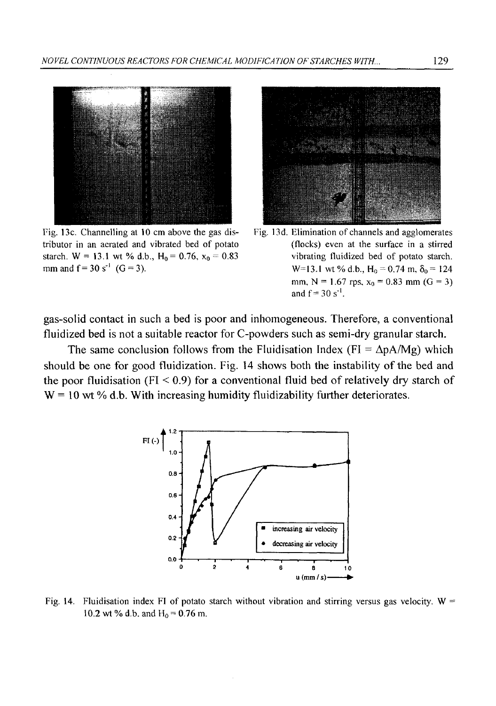

**Fig. 13c. Channelling at 10 cm above the gas distributor in an aerated and vibrated bed of potato** starch.  $W = 13.1$  wt % d.b.,  $H_0 = 0.76$ ,  $x_0 = 0.83$ mm and  $f = 30 s^{-1}$  ( $G = 3$ ).





gas-solid contact in such a bed is poor and inhomogeneous. Therefore, a conventional fluidized bed is not a suitable reactor for C-powders such as semi-dry granular starch.

The same conclusion follows from the Fluidisation Index (FI =  $\Delta pA/Mg$ ) which should be one for good fluidization. Fig. 14 shows both the instability of the bed and the poor fluidisation (FI  $< 0.9$ ) for a conventional fluid bed of relatively dry starch of  $W = 10$  wt % d.b. With increasing humidity fluidizability further deteriorates.



Fig. 14. Fluidisation index FI of potato starch without vibration and stirring versus gas velocity. W = **10.2 wt % d.b. and H<sub>0</sub> = 0.76 m.**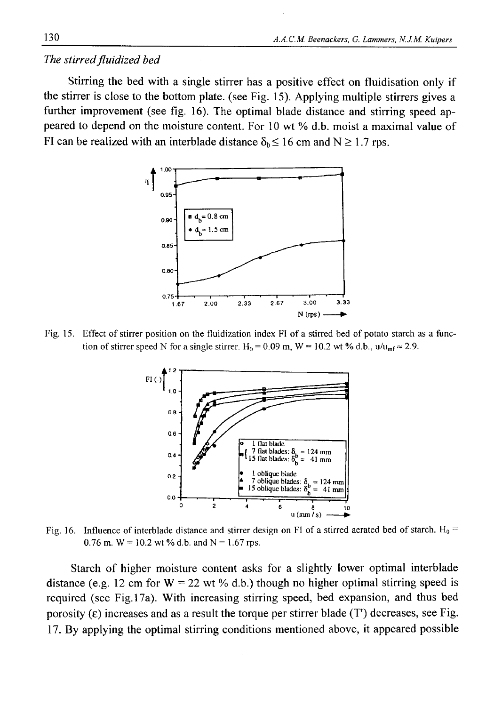#### *The stirred fluidized bed*

Stirring the bed with a single stirrer has a positive effect on fluidisation only if the stirrer is close to the bottom plate, (see Fig. 15). Applying multiple stirrers gives a further improvement (see fig. 16). The optimal blade distance and stirring speed appeared to depend on the moisture content. For 10 wt % d.b. moist a maximal value of FI can be realized with an interblade distance  $\delta_b \le 16$  cm and N  $\ge 1.7$  rps.



**Fig. 15. Effect of stirrer position on the fluidization index FI of a stirred bed of potato starch as a func**tion of stirrer speed N for a single stirrer.  $H_0 = 0.09$  m,  $W = 10.2$  wt % d.b.,  $u/u_{\text{mf}} \approx 2.9$ .



Fig. 16. Influence of interblade distance and stirrer design on FI of a stirred aerated bed of starch. H<sub>0</sub> = 0.76 m.  $W = 10.2$  wt % d.b. and  $N = 1.67$  rps.

Starch of higher moisture content asks for a slightly lower optimal interblade distance (e.g. 12 cm for  $W = 22$  wt % d.b.) though no higher optimal stirring speed is required (see Fig. 17a). With increasing stirring speed, bed expansion, and thus bed porosity  $(\epsilon)$  increases and as a result the torque per stirrer blade  $(T)$  decreases, see Fig. 17. By applying the optimal stirring conditions mentioned above, it appeared possible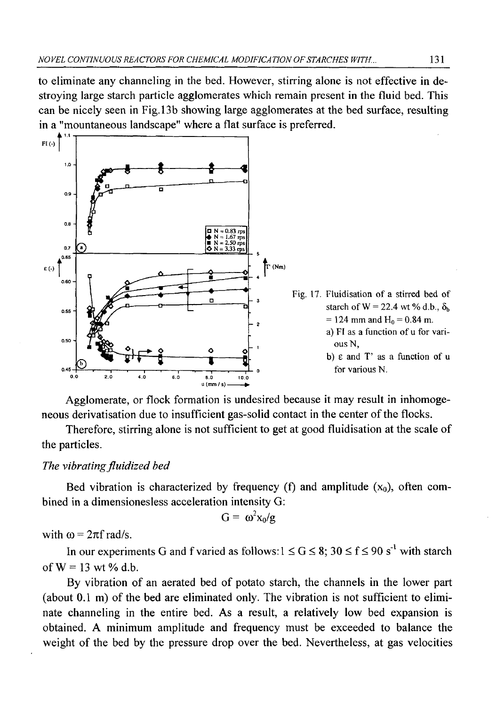to eliminate any channeling in the bed. However, stirring alone is not effective in destroying large starch particle agglomerates which remain present in the fluid bed. This can be nicely seen in Fig. 13b showing large agglomerates at the bed surface, resulting in a "mountaneous landscape" where a flat surface is preferred.



Agglomerate, or flock formation is undesired because it may result in inhomogeneous derivatisation due to insufficient gas-solid contact in the center of the flocks.

Therefore, stirring alone is not sufficient to get at good fluidisation at the scale of the particles.

### *The vibrating fluidized bed*

Bed vibration is characterized by frequency (f) and amplitude  $(x_0)$ , often combined in a dimensionesless acceleration intensity G:

$$
G = \omega^2 x_0 / g
$$

with  $\omega = 2\pi f$  rad/s.

In our experiments G and f varied as follows:  $1 \le G \le 8$ ;  $30 \le f \le 90 s^{-1}$  with starch of  $W = 13$  wt % d.b.

By vibration of an aerated bed of potato starch, the channels in the lower part (about 0.1 m) of the bed are eliminated only. The vibration is not sufficient to eliminate channeling in the entire bed. As a result, a relatively low bed expansion is obtained. A minimum amplitude and frequency must be exceeded to balance the weight of the bed by the pressure drop over the bed. Nevertheless, at gas velocities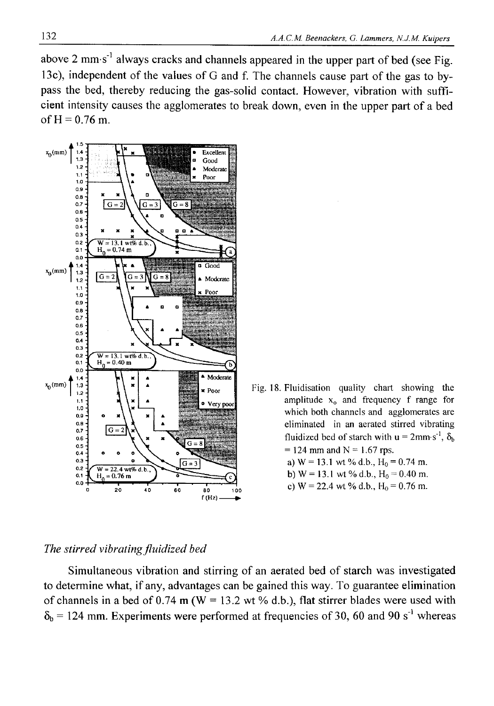above 2 mm s<sup>-1</sup> always cracks and channels appeared in the upper part of bed (see Fig. 13c), independent of the values of G and f. The channels cause part of the gas to bypass the bed, thereby reducing the gas-solid contact. However, vibration with sufficient intensity causes the agglomerates to break down, even in the upper part of a bed of  $H = 0.76$  m.



### **Fig. 18. Fluidisation quality chart showing the** amplitude x<sub>0</sub> and frequency f range for **which both channels and agglomerates are eliminated in an aerated stirred vibrating** fluidized bed of starch with  $u = 2$ mm s<sup>-1</sup>,  $\delta_b$  $= 124$  mm and  $N = 1.67$  rps. **a)**  $W = 13.1$  wt % d.b.,  $H_0 = 0.74$  m.

- **b**)  $W = 13.1$  wt % d.b.,  $H_0 = 0.40$  m.
- c)  $W = 22.4$  wt % d.b.,  $H_0 = 0.76$  m.

#### *The stirred vibrating fluidized bed*

Simultaneous vibration and stirring of an aerated bed of starch was investigated to determine what, if any, advantages can be gained this way. To guarantee elimination of channels in a bed of 0.74 m ( $W = 13.2$  wt % d.b.), flat stirrer blades were used with  $\delta_b$  = 124 mm. Experiments were performed at frequencies of 30, 60 and 90 s<sup>-1</sup> whereas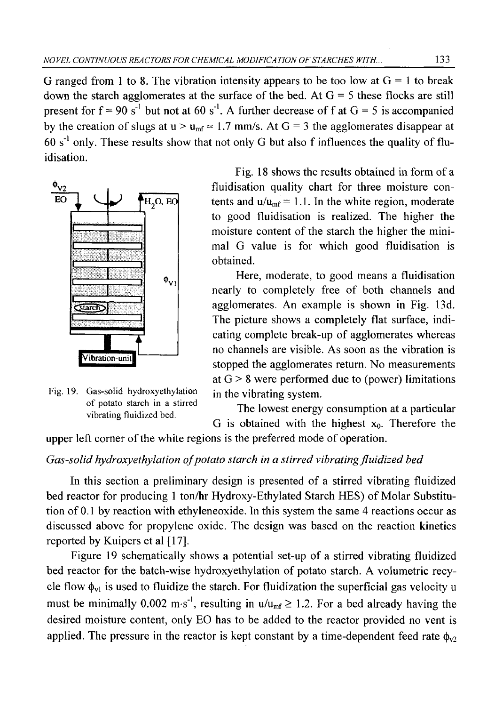G ranged from 1 to 8. The vibration intensity appears to be too low at  $G = 1$  to break down the starch agglomerates at the surface of the bed. At  $G = 5$  these flocks are still present for  $f = 90 s<sup>-1</sup>$  but not at 60 s<sup>-1</sup>. A further decrease of f at  $G = 5$  is accompanied by the creation of slugs at  $u > u_{mf} \approx 1.7$  mm/s. At  $G = 3$  the agglomerates disappear at  $60 s<sup>-1</sup>$  only. These results show that not only G but also f influences the quality of fluidisation.



Fig. 19. Gas-solid hydroxyethylation in the vibrating system. **of potato starch in a stirred vibrating fluidized bed.**

Fig. 18 shows the results obtained in form of a  $\phi_{V2}$  fluidisation quality chart for three moisture contents and  $u/u_{\text{mf}} = 1.1$ . In the white region, moderate to good fluidisation is realized. The higher the moisture content of the starch the higher the minimal G value is for which good fluidisation is obtained.

> Here, moderate, to good means a fluidisation nearly to completely free of both channels and agglomerates. An example is shown in Fig. 13d. The picture shows a completely flat surface, indicating complete break-up of agglomerates whereas no channels are visible. As soon as the vibration is stopped the agglomerates return. No measurements at  $G > 8$  were performed due to (power) limitations

> The lowest energy consumption at a particular G is obtained with the highest  $x_0$ . Therefore the

upper left corner of the white regions is the preferred mode of operation.

## *Gas-solid hydroxyethylation of potato starch in a stirred vibrating fluidized bed*

In this section a preliminary design is presented of a stirred vibrating fluidized bed reactor for producing 1 ton/hr Hydroxy-Ethylated Starch HES) of Molar Substitution of 0.1 by reaction with ethyleneoxide. In this system the same 4 reactions occur as discussed above for propylene oxide. The design was based on the reaction kinetics reported by Kuipers et al [17],

Figure 19 schematically shows a potential set-up of a stirred vibrating fluidized bed reactor for the batch-wise hydroxyethylation of potato starch. A volumetric recycle flow  $\phi_{v1}$  is used to fluidize the starch. For fluidization the superficial gas velocity u must be minimally 0.002 m·s<sup>-1</sup>, resulting in  $u/u_{\text{mf}} \ge 1.2$ . For a bed already having the desired moisture content, only EO has to be added to the reactor provided no vent is applied. The pressure in the reactor is kept constant by a time-dependent feed rate  $\phi_{\nu}$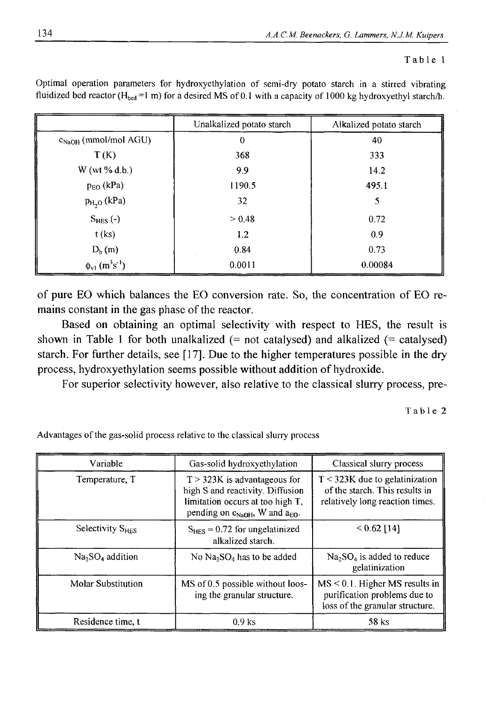#### **Table 1**

|                                               | Unalkalized potato starch | Alkalized potato starch |
|-----------------------------------------------|---------------------------|-------------------------|
| C <sub>NaOH</sub> (mmol/mol AGU)              | $\Omega$                  | 40                      |
| T(K)                                          | 368                       | 333                     |
| W (wt % d.b.)                                 | 9.9                       | 14.2                    |
| $p_{EO}$ (kPa)                                | 1190.5                    | 495.1                   |
| $p_{H2}$ (kPa)                                | 32                        | 5                       |
| $S_{HES}$ (-)                                 | > 0.48                    | 0.72                    |
| $t$ (ks)                                      | 1.2                       | 0.9                     |
| $D_{b}$ (m)                                   | 0.84                      | 0.73                    |
| $\phi_{v1}$ (m <sup>3</sup> s <sup>-1</sup> ) | 0.0011                    | 0.00084                 |

Optimal operation parameters for hydroxyethylation of semi-dry potato starch in a stirred vibrating fluidized bed reactor (H<sub>bed</sub>=1 m) for a desired MS of 0.1 with a capacity of 1000 kg hydroxyethyl starch/h.

of pure EO which balances the EO conversion rate. So, the concentration of EO remains constant in the gas phase of the reactor.

Based on obtaining an optimal selectivity with respect to HES, the result is shown in Table 1 for both unalkalized  $(=$  not catalysed) and alkalized  $(=$  catalysed) starch. For further details, see [17]. Due to the higher temperatures possible in the dry process, hydroxyethylation seems possible without addition of hydroxide.

For superior selectivity however, also relative to the classical slurry process, pre-

Table 2

| Variable                  | Gas-solid hydroxyethylation                                                                                                                                      | Classical slurry process                                                                              |
|---------------------------|------------------------------------------------------------------------------------------------------------------------------------------------------------------|-------------------------------------------------------------------------------------------------------|
| Temperature, T            | $T > 323K$ is advantageous for<br>high S and reactivity. Diffusion<br>limitation occurs at too high T,<br>pending on $c_{\text{NaOH}}$ , W and $a_{\text{EO}}$ . | $T < 323K$ due to gelatinization<br>of the starch. This results in<br>relatively long reaction times. |
| Selectivity $S_{HES}$     | $S_{\text{HES}} \approx 0.72$ for ungelatinized<br>alkalized starch.                                                                                             | $< 0.62$ [14]                                                                                         |
| $Na2SO4$ addition         | No $Na2SO4$ has to be added                                                                                                                                      | $Na2SO4$ is added to reduce<br>gelatinization                                                         |
| <b>Molar Substitution</b> | MS of 0.5 possible without loos-<br>ing the granular structure.                                                                                                  | $MS < 0.1$ . Higher MS results in<br>purification problems due to<br>loss of the granular structure.  |
| Residence time, t         | $0.9$ ks                                                                                                                                                         | 58 ks                                                                                                 |

Advantages of the gas-solid process relative to the classical slurry process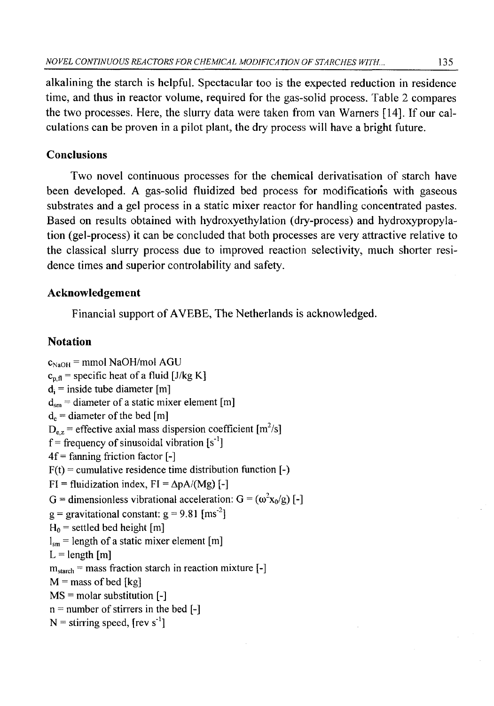alkalining the starch is helpful. Spectacular too is the expected reduction in residence time, and thus in reactor volume, required for the gas-solid process. Table 2 compares the two processes. Here, the slurry data were taken from van Warners [14]. If our calculations can be proven in a pilot plant, the dry process will have a bright future.

## **Conclusions**

Two novel continuous processes for the chemical derivatisation of starch have been developed. A gas-solid fluidized bed process for modifications with gaseous substrates and a gel process in a static mixer reactor for handling concentrated pastes. Based on results obtained with hydroxyethylation (dry-process) and hydroxypropylation (gel-process) it can be concluded that both processes are very attractive relative to the classical slurry process due to improved reaction selectivity, much shorter residence times and superior controlability and safety.

## **Acknowledgement**

Financial support of AVEBE, The Netherlands is acknowledged.

## **Notation**

 $c_{NaOH}$  = mmol NaOH/mol AGU  $c_{n,fl}$  = specific heat of a fluid [J/kg K]  $d_i$  = inside tube diameter [m]  $d_{\rm sm}$  = diameter of a static mixer element [m]  $d_e$  = diameter of the bed [m]  $D_{\text{e},z}$  = effective axial mass dispersion coefficient [m<sup>2</sup>/s]  $f =$  frequency of sinusoidal vibration [s<sup>-1</sup>]  $4f =$  fanning friction factor  $[-]$  $F(t)$  = cumulative residence time distribution function  $[-)$  $FI = fluidization index, FI = \Delta pA/(Mg)$  [-] G = dimensionless vibrational acceleration:  $G = (\omega^2 x_0/g)$  [-]  $g =$  gravitational constant:  $g = 9.81$  [ms<sup>-2</sup>]  $H_0$  = settled bed height [m]  $l_{\rm sm}$  = length of a static mixer element [m]  $L =$  length  $[m]$  $m_{\text{starch}}$  = mass fraction starch in reaction mixture [-]  $M$  = mass of bed [kg] MS = molar substitution [-]  $n =$  number of stirrers in the bed  $[-]$  $N =$  stirring speed,  $[rev s^{-1}]$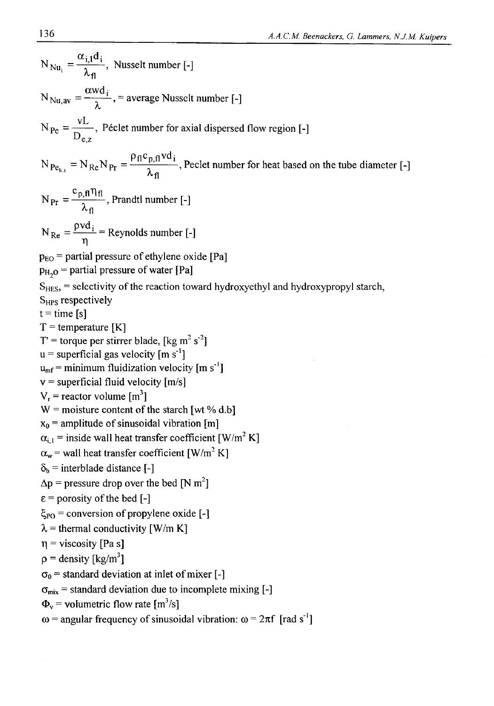$N_{\text{Nu}_i} = \frac{\alpha_{i,1}d_i}{\lambda_{\text{fl}}}$ , Nusselt number [-] awd;  $N_{\text{Nu},\text{av}} = \frac{N}{\lambda}$ , = average Nusselt number [-]  $N_{\text{Pe}} = \frac{N_{\text{Pe}}}{D}$ , Péclet number for axial dispersed flow regi  $\bm{\nu}_{\mathbf{e},\mathbf{z}}$  $N_{Pe_{h,t}} = N_{Re}N_{Pr} = \frac{\rho_{fl}c_{p,fl}vd_i}{\lambda_{fl}}$ , Peclet number for heat based on the tube diameter [-]  $N_{\text{Pr}} = \frac{c_{\text{p},\text{f}} \eta_{\text{f}}}{\lambda_{\text{f}}}$ , Prandtl number [-]  $N_{\text{Re}} = \frac{\rho v d_i}{n}$  = Reynolds number [-]  $p_{E0}$  = partial pressure of ethylene oxide [Pa]  $p_{H_2O}$  = partial pressure of water [Pa] S<sub>HES</sub>, = selectivity of the reaction toward hydroxyethyl and hydroxypropyl starch, S<sub>HPS</sub> respectively  $t = time$  [s]  $T =$  temperature [K]  $T'$  = torque per stirrer blade, [kg m<sup>2</sup> s<sup>-2</sup>]  $u =$  superficial gas velocity [m s<sup>-1</sup>]  $u_{\rm mf}$  = minimum fluidization velocity [m s<sup>-1</sup>]  $v =$  superficial fluid velocity  $[m/s]$  $V_r$  = reactor volume  $\lceil m^3 \rceil$  $W =$  moisture content of the starch [wt % d.b]  $x_0$  = amplitude of sinusoidal vibration [m]  $\alpha_{i,1}$  = inside wall heat transfer coefficient [W/m<sup>2</sup> K]  $\alpha_w$  = wall heat transfer coefficient [W/m<sup>2</sup> K]  $\delta_b$  = interblade distance [-]  $\Delta p$  = pressure drop over the bed [N m<sup>2</sup>]  $\varepsilon$  = porosity of the bed [-]  $\xi_{\rm PO}$  = conversion of propylene oxide [-]  $\lambda$  = thermal conductivity [W/m K]  $\eta$  = viscosity [Pa s]  $p =$  density [kg/m<sup>3</sup>]  $\sigma_0$  = standard deviation at inlet of mixer [-] **Gmjx =** standard deviation due to incomplete mixing **[-]**  $\Phi_{\rm v}$  = volumetric flow rate [m<sup>3</sup>/s]  $\omega$  = angular frequency of sinusoidal vibration:  $\omega$  =  $2\pi f$  [rad s<sup>-1</sup>]